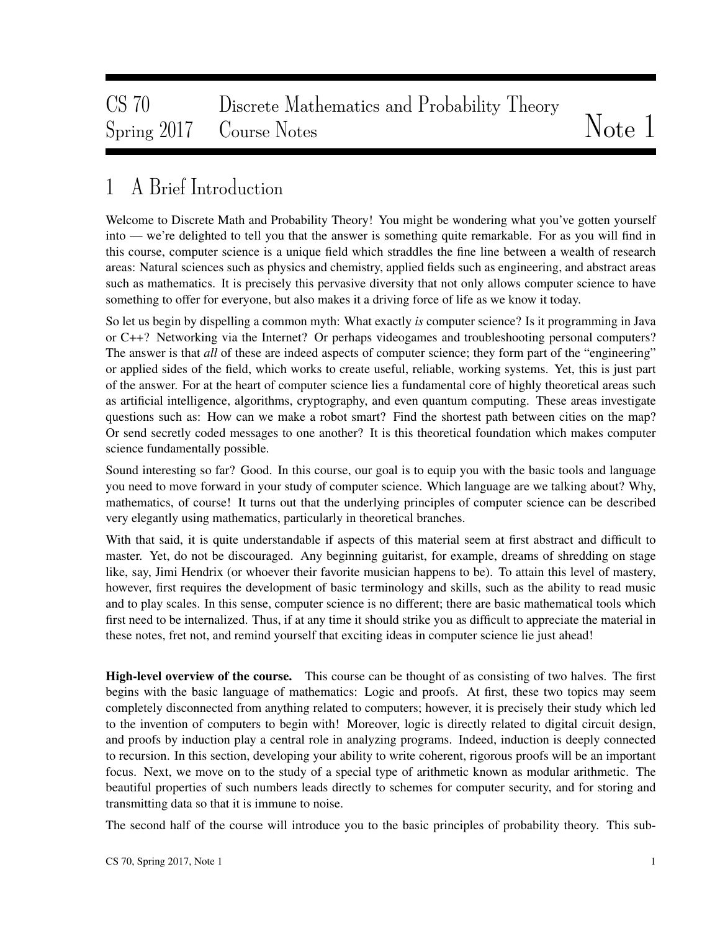# CS 70 Discrete Mathematics and Probability Theory Spring 2017 Course Notes Notes Note 1

## 1 A Brief Introduction

Welcome to Discrete Math and Probability Theory! You might be wondering what you've gotten yourself into — we're delighted to tell you that the answer is something quite remarkable. For as you will find in this course, computer science is a unique field which straddles the fine line between a wealth of research areas: Natural sciences such as physics and chemistry, applied fields such as engineering, and abstract areas such as mathematics. It is precisely this pervasive diversity that not only allows computer science to have something to offer for everyone, but also makes it a driving force of life as we know it today.

So let us begin by dispelling a common myth: What exactly *is* computer science? Is it programming in Java or C++? Networking via the Internet? Or perhaps videogames and troubleshooting personal computers? The answer is that *all* of these are indeed aspects of computer science; they form part of the "engineering" or applied sides of the field, which works to create useful, reliable, working systems. Yet, this is just part of the answer. For at the heart of computer science lies a fundamental core of highly theoretical areas such as artificial intelligence, algorithms, cryptography, and even quantum computing. These areas investigate questions such as: How can we make a robot smart? Find the shortest path between cities on the map? Or send secretly coded messages to one another? It is this theoretical foundation which makes computer science fundamentally possible.

Sound interesting so far? Good. In this course, our goal is to equip you with the basic tools and language you need to move forward in your study of computer science. Which language are we talking about? Why, mathematics, of course! It turns out that the underlying principles of computer science can be described very elegantly using mathematics, particularly in theoretical branches.

With that said, it is quite understandable if aspects of this material seem at first abstract and difficult to master. Yet, do not be discouraged. Any beginning guitarist, for example, dreams of shredding on stage like, say, Jimi Hendrix (or whoever their favorite musician happens to be). To attain this level of mastery, however, first requires the development of basic terminology and skills, such as the ability to read music and to play scales. In this sense, computer science is no different; there are basic mathematical tools which first need to be internalized. Thus, if at any time it should strike you as difficult to appreciate the material in these notes, fret not, and remind yourself that exciting ideas in computer science lie just ahead!

High-level overview of the course. This course can be thought of as consisting of two halves. The first begins with the basic language of mathematics: Logic and proofs. At first, these two topics may seem completely disconnected from anything related to computers; however, it is precisely their study which led to the invention of computers to begin with! Moreover, logic is directly related to digital circuit design, and proofs by induction play a central role in analyzing programs. Indeed, induction is deeply connected to recursion. In this section, developing your ability to write coherent, rigorous proofs will be an important focus. Next, we move on to the study of a special type of arithmetic known as modular arithmetic. The beautiful properties of such numbers leads directly to schemes for computer security, and for storing and transmitting data so that it is immune to noise.

The second half of the course will introduce you to the basic principles of probability theory. This sub-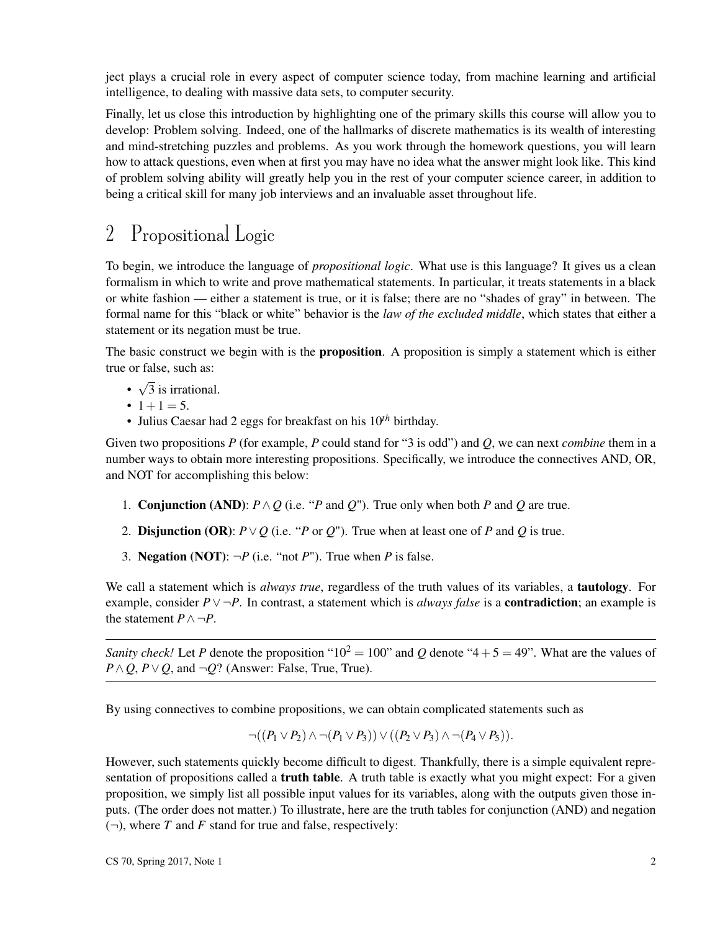ject plays a crucial role in every aspect of computer science today, from machine learning and artificial intelligence, to dealing with massive data sets, to computer security.

Finally, let us close this introduction by highlighting one of the primary skills this course will allow you to develop: Problem solving. Indeed, one of the hallmarks of discrete mathematics is its wealth of interesting and mind-stretching puzzles and problems. As you work through the homework questions, you will learn how to attack questions, even when at first you may have no idea what the answer might look like. This kind of problem solving ability will greatly help you in the rest of your computer science career, in addition to being a critical skill for many job interviews and an invaluable asset throughout life.

## 2 Propositional Logic

To begin, we introduce the language of *propositional logic*. What use is this language? It gives us a clean formalism in which to write and prove mathematical statements. In particular, it treats statements in a black or white fashion — either a statement is true, or it is false; there are no "shades of gray" in between. The formal name for this "black or white" behavior is the *law of the excluded middle*, which states that either a statement or its negation must be true.

The basic construct we begin with is the **proposition**. A proposition is simply a statement which is either true or false, such as:

- √ 3 is irrational.
- $1+1=5$ .
- Julius Caesar had 2 eggs for breakfast on his 10*th* birthday.

Given two propositions *P* (for example, *P* could stand for "3 is odd") and *Q*, we can next *combine* them in a number ways to obtain more interesting propositions. Specifically, we introduce the connectives AND, OR, and NOT for accomplishing this below:

- 1. **Conjunction (AND):**  $P \land Q$  (i.e. "*P* and *Q*"). True only when both *P* and *Q* are true.
- 2. **Disjunction (OR):**  $P \vee Q$  (i.e. "*P* or *Q*"). True when at least one of *P* and *Q* is true.
- 3. **Negation (NOT):**  $\neg P$  (i.e. "not *P*"). True when *P* is false.

We call a statement which is *always true*, regardless of the truth values of its variables, a tautology. For example, consider *P*∨ ¬*P*. In contrast, a statement which is *always false* is a contradiction; an example is the statement  $P \land \neg P$ .

*Sanity check!* Let *P* denote the proposition "10<sup>2</sup> = 100" and *Q* denote "4 + 5 = 49". What are the values of  $P \land Q$ ,  $P \lor Q$ , and  $\neg Q$ ? (Answer: False, True, True).

By using connectives to combine propositions, we can obtain complicated statements such as

$$
\neg((P_1 \vee P_2) \wedge \neg(P_1 \vee P_3)) \vee ((P_2 \vee P_3) \wedge \neg(P_4 \vee P_5)).
$$

However, such statements quickly become difficult to digest. Thankfully, there is a simple equivalent representation of propositions called a **truth table**. A truth table is exactly what you might expect: For a given proposition, we simply list all possible input values for its variables, along with the outputs given those inputs. (The order does not matter.) To illustrate, here are the truth tables for conjunction (AND) and negation  $(\neg)$ , where *T* and *F* stand for true and false, respectively: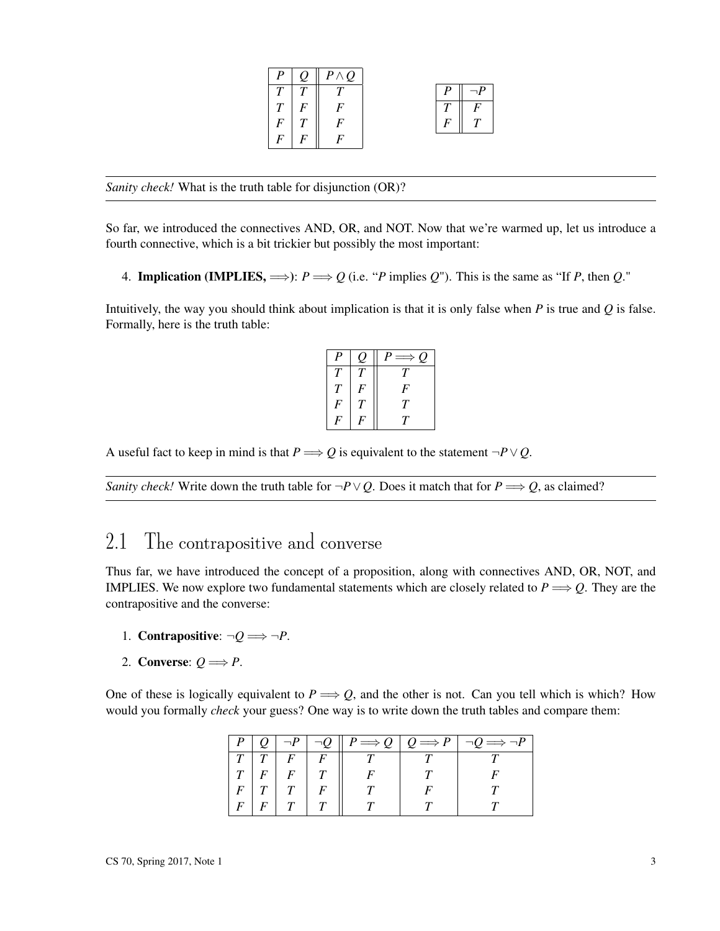|             | $\theta$ | $P \wedge Q$ |  |   |
|-------------|----------|--------------|--|---|
|             |          |              |  |   |
| $T_{\perp}$ | $\bm{F}$ |              |  | F |
| F           |          |              |  |   |
|             |          |              |  |   |

*Sanity check!* What is the truth table for disjunction (OR)?

So far, we introduced the connectives AND, OR, and NOT. Now that we're warmed up, let us introduce a fourth connective, which is a bit trickier but possibly the most important:

4. **Implication (IMPLIES,**  $\implies$ ):  $P \implies Q$  (i.e. "*P* implies *Q*"). This is the same as "If *P*, then *Q*."

Intuitively, the way you should think about implication is that it is only false when *P* is true and *Q* is false. Formally, here is the truth table:

| $\boldsymbol{P}$ |        | $P \Longrightarrow$<br>$\mathcal{Q}$ |
|------------------|--------|--------------------------------------|
| Т                | $\tau$ | T                                    |
| T                | F      | F                                    |
| F                | T      | T                                    |
|                  |        | $\tau$                               |

A useful fact to keep in mind is that  $P \Longrightarrow Q$  is equivalent to the statement  $\neg P \lor Q$ .

*Sanity check!* Write down the truth table for  $\neg P \lor Q$ . Does it match that for  $P \Longrightarrow Q$ , as claimed?

## 2.1 The contrapositive and converse

Thus far, we have introduced the concept of a proposition, along with connectives AND, OR, NOT, and IMPLIES. We now explore two fundamental statements which are closely related to  $P \Longrightarrow Q$ . They are the contrapositive and the converse:

- 1. Contrapositive:  $\neg Q \Longrightarrow \neg P$ .
- 2. Converse:  $Q \Longrightarrow P$ .

One of these is logically equivalent to  $P \Longrightarrow Q$ , and the other is not. Can you tell which is which? How would you formally *check* your guess? One way is to write down the truth tables and compare them:

|               |          |          |  | $\neg P \mid \neg Q \parallel P \Longrightarrow Q \mid Q \Longrightarrow P \mid \neg Q \Longrightarrow \neg P$ |
|---------------|----------|----------|--|----------------------------------------------------------------------------------------------------------------|
|               | $\mid$ F | $\mid$ F |  |                                                                                                                |
| $\mid F \mid$ |          | T        |  |                                                                                                                |
|               |          |          |  |                                                                                                                |
|               |          |          |  |                                                                                                                |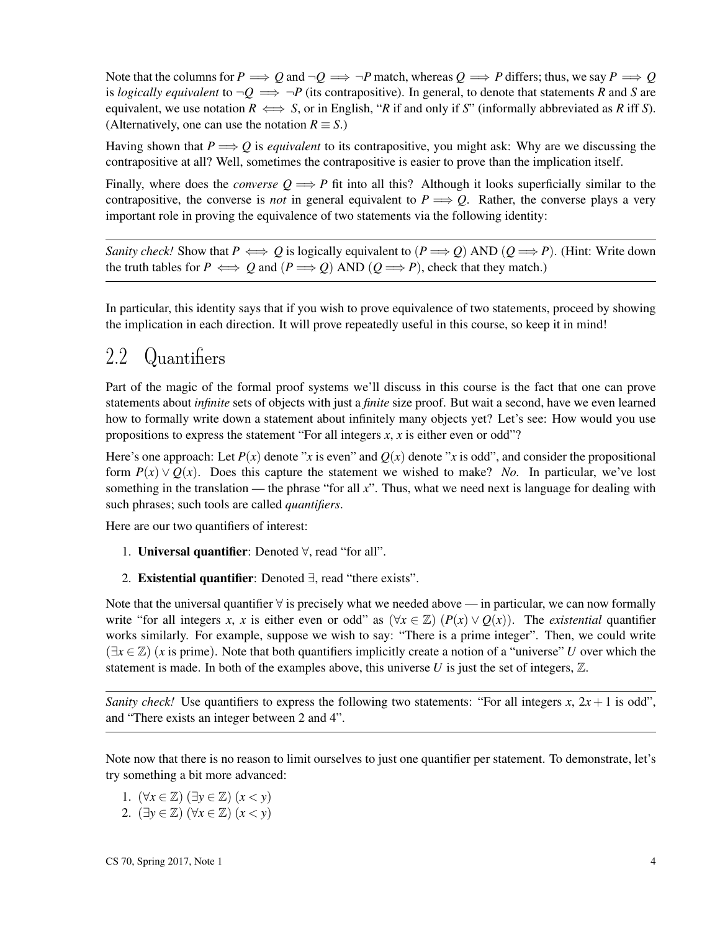Note that the columns for  $P \implies Q$  and  $\neg Q \implies \neg P$  match, whereas  $Q \implies P$  differs; thus, we say  $P \implies Q$ is *logically equivalent* to  $\neg Q \implies \neg P$  (its contrapositive). In general, to denote that statements *R* and *S* are equivalent, we use notation  $R \iff S$ , or in English, "*R* if and only if *S*" (informally abbreviated as *R* iff *S*). (Alternatively, one can use the notation  $R \equiv S$ .)

Having shown that  $P \Longrightarrow Q$  is *equivalent* to its contrapositive, you might ask: Why are we discussing the contrapositive at all? Well, sometimes the contrapositive is easier to prove than the implication itself.

Finally, where does the *converse*  $Q \implies P$  fit into all this? Although it looks superficially similar to the contrapositive, the converse is *not* in general equivalent to  $P \Longrightarrow Q$ . Rather, the converse plays a very important role in proving the equivalence of two statements via the following identity:

*Sanity check!* Show that  $P \iff Q$  is logically equivalent to  $(P \Longrightarrow Q)$  AND  $(Q \Longrightarrow P)$ . (Hint: Write down the truth tables for  $P \iff Q$  and  $(P \Longrightarrow Q)$  AND  $(Q \Longrightarrow P)$ , check that they match.)

In particular, this identity says that if you wish to prove equivalence of two statements, proceed by showing the implication in each direction. It will prove repeatedly useful in this course, so keep it in mind!

### 2.2 Quantifiers

Part of the magic of the formal proof systems we'll discuss in this course is the fact that one can prove statements about *infinite* sets of objects with just a *finite* size proof. But wait a second, have we even learned how to formally write down a statement about infinitely many objects yet? Let's see: How would you use propositions to express the statement "For all integers *x*, *x* is either even or odd"?

Here's one approach: Let  $P(x)$  denote "*x* is even" and  $Q(x)$  denote "*x* is odd", and consider the propositional form  $P(x) \vee Q(x)$ . Does this capture the statement we wished to make? *No.* In particular, we've lost something in the translation — the phrase "for all *x*". Thus, what we need next is language for dealing with such phrases; such tools are called *quantifiers*.

Here are our two quantifiers of interest:

- 1. Universal quantifier: Denoted ∀, read "for all".
- 2. Existential quantifier: Denoted ∃, read "there exists".

Note that the universal quantifier ∀ is precisely what we needed above — in particular, we can now formally write "for all integers *x*, *x* is either even or odd" as  $(\forall x \in \mathbb{Z})$   $(P(x) \vee Q(x))$ . The *existential* quantifier works similarly. For example, suppose we wish to say: "There is a prime integer". Then, we could write (∃*x* ∈ Z) (*x* is prime). Note that both quantifiers implicitly create a notion of a "universe" *U* over which the statement is made. In both of the examples above, this universe U is just the set of integers,  $\mathbb{Z}$ .

*Sanity check!* Use quantifiers to express the following two statements: "For all integers  $x$ ,  $2x + 1$  is odd", and "There exists an integer between 2 and 4".

Note now that there is no reason to limit ourselves to just one quantifier per statement. To demonstrate, let's try something a bit more advanced:

- 1.  $(\forall x \in \mathbb{Z})$   $(\exists y \in \mathbb{Z})$   $(x < y)$
- 2. (∃*y* ∈ Z) (∀*x* ∈ Z) (*x* < *y*)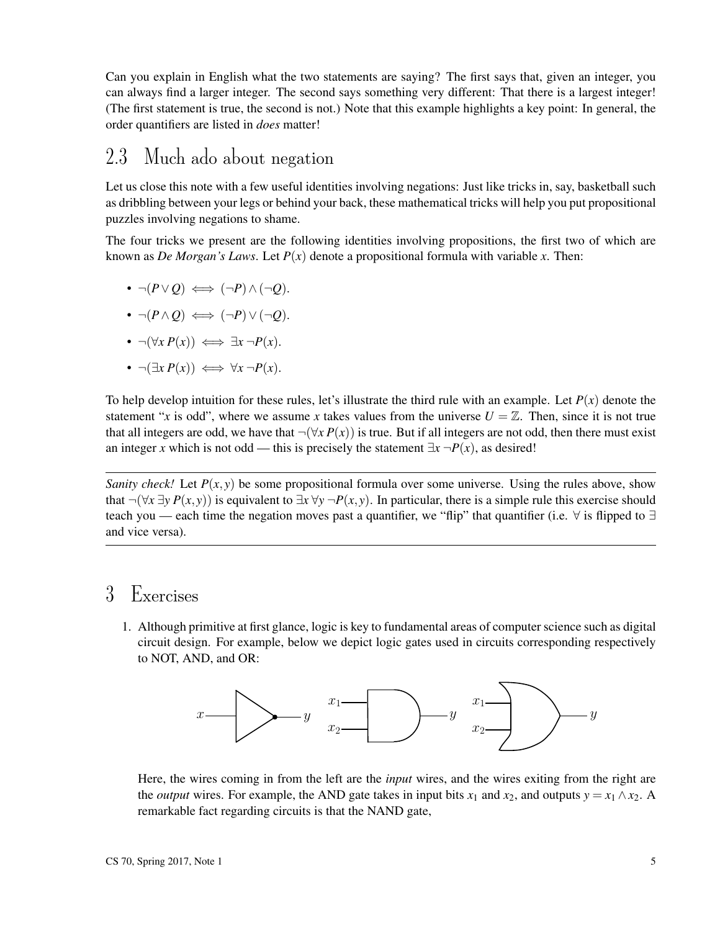Can you explain in English what the two statements are saying? The first says that, given an integer, you can always find a larger integer. The second says something very different: That there is a largest integer! (The first statement is true, the second is not.) Note that this example highlights a key point: In general, the order quantifiers are listed in *does* matter!

#### 2.3 Much ado about negation

Let us close this note with a few useful identities involving negations: Just like tricks in, say, basketball such as dribbling between your legs or behind your back, these mathematical tricks will help you put propositional puzzles involving negations to shame.

The four tricks we present are the following identities involving propositions, the first two of which are known as *De Morgan's Laws*. Let  $P(x)$  denote a propositional formula with variable *x*. Then:

$$
\bullet \ \neg (P \lor Q) \iff (\neg P) \land (\neg Q).
$$

- $\neg (P \land Q) \iff (\neg P) \lor (\neg Q).$
- $\neg(\forall x \, P(x)) \iff \exists x \, \neg P(x).$
- $\neg(\exists x P(x)) \iff \forall x \neg P(x)$ .

To help develop intuition for these rules, let's illustrate the third rule with an example. Let  $P(x)$  denote the statement "*x* is odd", where we assume *x* takes values from the universe  $U = \mathbb{Z}$ . Then, since it is not true that all integers are odd, we have that  $\neg(\forall x P(x))$  is true. But if all integers are not odd, then there must exist an integer *x* which is not odd — this is precisely the statement  $\exists x \neg P(x)$ , as desired!

*Sanity check!* Let  $P(x, y)$  be some propositional formula over some universe. Using the rules above, show that  $\neg(\forall x \exists y P(x, y))$  is equivalent to  $\exists x \forall y \neg P(x, y)$ . In particular, there is a simple rule this exercise should teach you — each time the negation moves past a quantifier, we "flip" that quantifier (i.e.  $\forall$  is flipped to  $\exists$ and vice versa).

#### 3 Exercises

1. Although primitive at first glance, logic is key to fundamental areas of computer science such as digital circuit design. For example, below we depict logic gates used in circuits corresponding respectively to NOT, AND, and OR:



Here, the wires coming in from the left are the *input* wires, and the wires exiting from the right are the *output* wires. For example, the AND gate takes in input bits  $x_1$  and  $x_2$ , and outputs  $y = x_1 \wedge x_2$ . A remarkable fact regarding circuits is that the NAND gate,